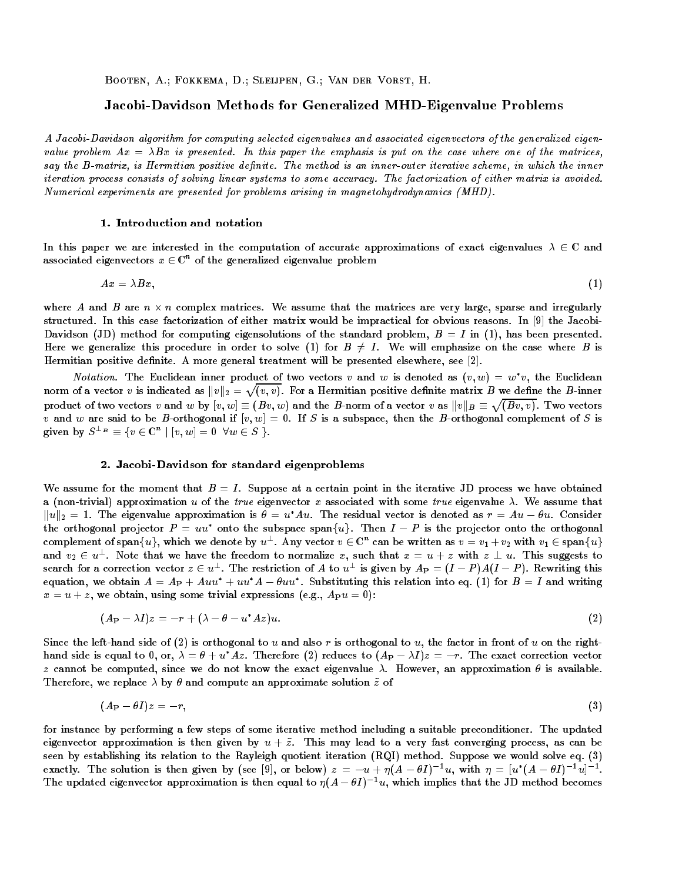Booten, A.; Fokkema, D.; Sleijpen, G.; Van der Vorst, H.

# Jacobi-Davidson Methods for Generalized MHD-Eigenvalue Problems

A Jacobi-Davidson algorithm for computing selected eigenvalues and associated eigenvectors of the generalized eigenvalue problem  $Ax = \lambda Bx$  is presented. In this paper the emphasis is put on the case where one of the matrices, say the B-matrix, is Hermitian positive definite. The method is an inner-outer iterative scheme, in which the inner iteration process consists of solving linear systems to some accuracy. The factorization of either matrix is avoided. Numerical experiments are presented for problems arising in magnetohydrodynamics (MHD).

## 1. Introduction and notation

In this paper we are interested in the computation of accurate approximations of exact eigenvalues  $\lambda \in \mathbb{C}$  and associated eigenvectors  $x \in \mathbb{C}^n$  of the generalized eigenvalue problem

$$
Ax = \lambda Bx,\tag{1}
$$

where A and B are  $n \times n$  complex matrices. We assume that the matrices are very large, sparse and irregularly structured. In this case factorization of either matrix would be impractical for obvious reasons. In [9] the Jacobi-Davidson (JD) method for computing eigensolutions of the standard problem,  $B = I$  in (1), has been presented. Here we generalize this procedure in order to solve (1) for  $B \neq I$ . We will emphasize on the case where B is Hermitian positive definite. A more general treatment will be presented elsewhere, see [2].

*Notation.* The Euclidean inner product of two vectors v and w is denoted as  $(v, w) = w^*v$ , the Euclidean norm of a vector  $v$  is indicated as  $\|v\|_2=\sqrt{(v,v)}.$  For a Hermitian positive definite matrix  $B$  we define the  $B$ -inner product of two vectors  $v$  and  $w$  by  $[v,w]\equiv (Bv,w)$  and the  $B$ -norm of a vector  $v$  as  $\|v\|_B\equiv \sqrt{(Bv,v)}$ . Two vectors v and w are said to be B-orthogonal if  $[v, w] = 0$ . If S is a subspace, then the B-orthogonal complement of S is given by  $S^{\perp_B} \equiv \{ v \in \mathbb{C}^n \mid [v,w]=0 \;\; \forall w \in S \; \}.$ 

## 2. Jacobi-Davidson for standard eigenproblems

We assume for the moment that  $B = I$ . Suppose at a certain point in the iterative JD process we have obtained a (non-trivial) approximation u of the true eigenvector x associated with some true eigenvalue  $\lambda$ . We assume that  $\|u\|_2 = 1$ . The eigenvalue approximation is  $\theta = u^*Au$ . The residual vector is denoted as  $r = Au - \theta u$ . Consider the orthogonal projector  $P = uu^*$  onto the subspace span $\{u\}$ . Then  $I - P$  is the projector onto the orthogonal complement of span $\{u\}$ , which we denote by  $u^\perp$ . Any vector  $v\in\mathbb{C}^n$  can be written as  $v=v_1+v_2$  with  $v_1\in\mathrm{span}\{u\}$ and  $v_2 \in u^{\perp}$ . Note that we have the freedom to normalize x, such that  $x = u + z$  with  $z \perp u$ . This suggests to search for a correction vector  $z \in u^+$ . The restriction of A to  $u^+$  is given by  $A_P = (I - P)A(I - P)$ . Rewriting this equation, we obtain  $A = Ap + Auu' + uu'A - \theta uu$  . Substituting this relation into eq. (1) for  $B = I$  and writing  $x = u + z$ , we obtain, using some trivial expressions (e.g.,  $A_P u = 0$ ):

$$
(A_P - \lambda I)z = -r + (\lambda - \theta - u^*Az)u.
$$
\n<sup>(2)</sup>

Since the left-hand side of (2) is orthogonal to u and also r is orthogonal to u, the factor in front of u on the righthand side is equal to 0, or,  $\lambda = \theta + u^* A z$ . Therefore (2) reduces to  $(A_P - \lambda I)z = -r$ . The exact correction vector z cannot be computed, since we do not know the exact eigenvalue  $\lambda$ . However, an approximation  $\theta$  is available. Therefore, we replace  $\lambda$  by  $\theta$  and compute an approximate solution  $\tilde{z}$  of

$$
(A_P - \theta I)z = -r,\t\t(3)
$$

for instance by performing a few steps of some iterative method including a suitable preconditioner. The updated eigenvector approximation is then given by  $u + \tilde{z}$ . This may lead to a very fast converging process, as can be seen by establishing its relation to the Rayleigh quotient iteration (RQI) method. Suppose we would solve eq. (3) exactly. The solution is then given by (see [9], or below)  $z = -u + \eta (A - \sigma I)$  with  $\eta = |u|(A - \sigma I)$  with  $\eta$ The updated eigenvector approximation is then equal to  $\eta(A - \theta I)^{-1}u$ , which implies that the JD method becomes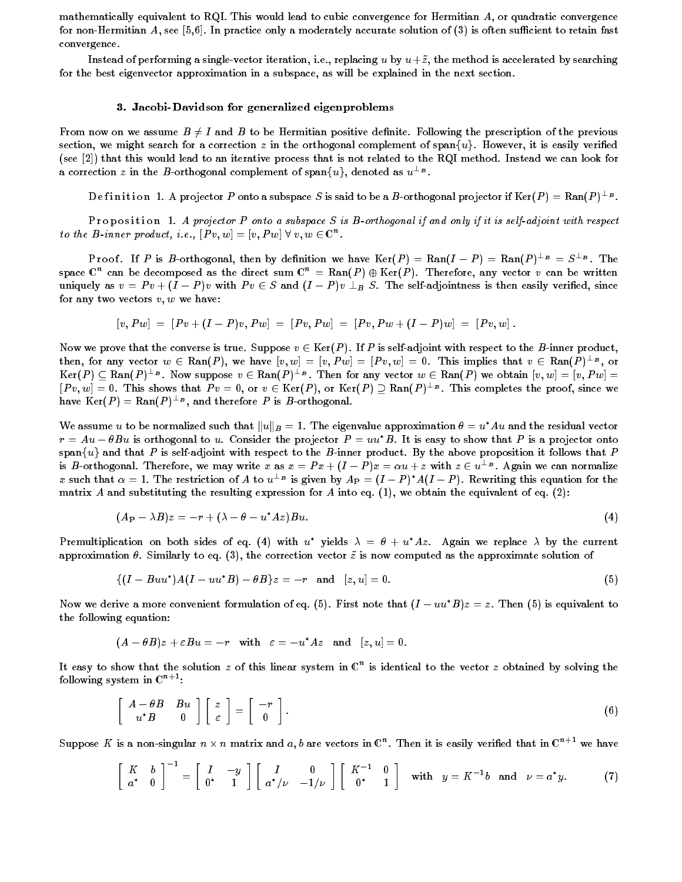mathematically equivalent to RQI. This would lead to cubic convergence for Hermitian A, or quadratic convergence for non-Hermitian A, see [5,6]. In practice only a moderately accurate solution of  $(3)$  is often sufficient to retain fast convergence.

Instead of performing a single-vector iteration, i.e., replacing u by  $u+\tilde{z}$ , the method is accelerated by searching for the best eigenvector approximation in a subspace, as will be explained in the next section.

### 3. Jacobi-Davidson for generalized eigenproblems

From now on we assume  $B \neq I$  and B to be Hermitian positive definite. Following the prescription of the previous section, we might search for a correction z in the orthogonal complement of span $\{u\}$ . However, it is easily verified (see [2]) that this would lead to an iterative process that is not related to the RQI method. Instead we can look for a correction z in the B-orthogonal complement of span $\{u\}$ , denoted as  $u^{\perp_B}$ .

Definition 1. A projector P onto a subspace S is said to be a B-orthogonal projector if  $\text{Ker}(P) = \text{Ran}(P)^{\perp_B}$ .

P roposition 1. A projector P onto a subspace S is B-orthogonal if and only if it is self-adjoint with respect to the B-inner product, i.e.,  $[Pv, w] = [v, Pw] \ \forall \ v, w \in \mathbb{C}^n$ .

P root. If P is B-orthogonal, then by definition we have  $\text{Ker}(P) = \text{Kan}(I - P) = \text{Kan}(P)^{-D} = S^{-D}$ . The space  $\mathbb{C}^n$  can be decomposed as the direct sum  $\mathbb{C}^n = \text{Ran}(P) \oplus \text{Ker}(P)$ . Therefore, any vector  $v$  can be written uniquely as  $v = Pv + (I - P)v$  with  $Pv \in S$  and  $(I - P)v \perp_{B} S$ . The self-adjointness is then easily verified, since for any two vectors  $v, w$  we have:

$$
[v, P w] = [P v + (I - P) v, P w] = [P v, P w] = [P v, P w + (I - P) w] = [P v, w].
$$

Now we prove that the converse is true. Suppose  $v \in \text{Ker}(P)$ . If P is self-adjoint with respect to the B-inner product, then, for any vector  $w \in \text{Ran}(P)$ , we have  $|v, w| = |v, Pw| = |Pv, w| = 0$ . This implies that  $v \in \text{Ran}(P)^{\perp_B}$ , or  $\text{Ker}(P) \subseteq \text{Ran}(P)^{\perp_B}$ . Now suppose  $v \in \text{Ran}(P)^{\perp_B}$ . Then for any vector  $w \in \text{Ran}(P)$  we obtain  $|v,w|=|v,Pw|=1$  $[Pv, w] = 0$ . This shows that  $Pv = 0$ , or  $v \in \text{Ker}(P)$ , or  $\text{Ker}(P) \supseteq \text{Ran}(P)^{\perp_B}$ . This completes the proof, since we nave  $\text{Ker}(P) = \text{Kan}(P)^{-\nu}$ , and therefore P is B-orthogonal.

We assume u to be normalized such that  $||u||_B = 1$ . The eigenvalue approximation  $\theta = u^*Au$  and the residual vector  $r = Au - \theta Bu$  is orthogonal to u. Consider the projector  $P = uu^*B$ . It is easy to show that P is a projector onto span $\{u\}$  and that P is self-adjoint with respect to the B-inner product. By the above proposition it follows that P is B-orthogonal. Therefore, we may write x as  $x = Px + (I - P)x = \alpha u + z$  with  $z \in u^{\perp_B}$ . Again we can normalize x such that  $\alpha = 1$ . The restriction of A to  $u^{\perp_B}$  is given by  $A_P = (I - P)^* A (I - P)$ . Rewriting this equation for the matrix A and substituting the resulting expression for A into eq.  $(1)$ , we obtain the equivalent of eq.  $(2)$ :

$$
(A_P - \lambda B)z = -r + (\lambda - \theta - u^* A z)Bu.
$$
\n<sup>(4)</sup>

Premultiplication on both sides of eq. (4) with u<sup>\*</sup> yields  $\lambda = \theta + u^* A z$ . Again we replace  $\lambda$  by the current approximation  $\theta$ . Similarly to eq. (3), the correction vector  $\tilde{z}$  is now computed as the approximate solution of

$$
\{(I - Buu^*)A(I - uu^*B) - \theta B\}z = -r \text{ and } [z, u] = 0. \tag{5}
$$

Now we derive a more convenient formulation of eq. (5). First note that  $(I - uu^*B)z = z$ . Then (5) is equivalent to the following equation:

$$
(A - \theta B)z + \varepsilon Bu = -r \quad \text{with} \quad \varepsilon = -u^*Az \quad \text{and} \quad [z, u] = 0.
$$

It easy to show that the solution  $z$  of this linear system in  $\mathbb{C}^n$  is identical to the vector  $z$  obtained by solving the following system in  $\mathbb{C}^{n+1}$ :

$$
\left[\begin{array}{cc} A - \theta B & B u \\ u^* B & 0 \end{array}\right] \left[\begin{array}{c} z \\ \varepsilon \end{array}\right] = \left[\begin{array}{c} -r \\ 0 \end{array}\right]. \tag{6}
$$

Suppose K is a non-singular  $n \times n$  matrix and  $a,b$  are vectors in  $\mathbb{C}^n.$  Then it is easily verified that in  $\mathbb{C}^{n+1}$  we have

$$
\left[\begin{array}{cc} K & b \\ a^* & 0 \end{array}\right]^{-1} = \left[\begin{array}{cc} I & -y \\ 0^* & 1 \end{array}\right] \left[\begin{array}{cc} I & 0 \\ a^*/\nu & -1/\nu \end{array}\right] \left[\begin{array}{cc} K^{-1} & 0 \\ 0^* & 1 \end{array}\right] \quad \text{with} \quad y = K^{-1}b \quad \text{and} \quad \nu = a^*y. \tag{7}
$$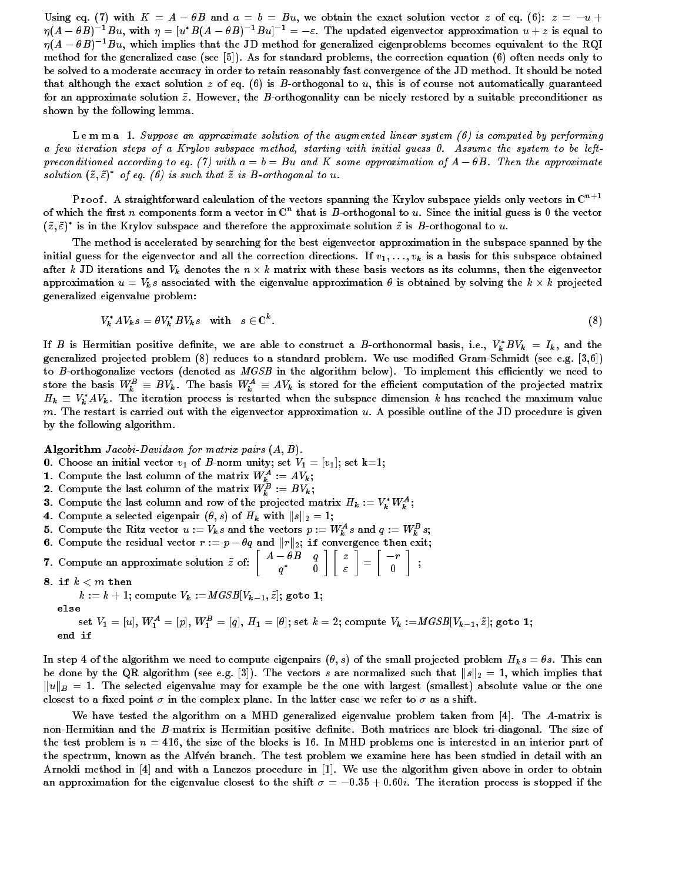Using eq. (7) with  $K = A - \theta B$  and  $a = b = Bu$ , we obtain the exact solution vector z of eq. (6):  $z = -u +$  $\eta(A - \theta B)^{-1}Bu$ , with  $\eta = [u^*B(A - \theta B)^{-1}Bu]^{-1} = -\varepsilon$ . The updated eigenvector approximation  $u + z$  is equal to  $\eta(A - \theta B)^{-1}Bu$ , which implies that the JD method for generalized eigenproblems becomes equivalent to the RQI method for the generalized case (see [5]). As for standard problems, the correction equation (6) often needs only to be solved to a moderate accuracy in order to retain reasonably fast convergence of the JD method. It should be noted that although the exact solution  $z$  of eq. (6) is B-orthogonal to  $u$ , this is of course not automatically guaranteed for an approximate solution  $\tilde{z}$ . However, the B-orthogonality can be nicely restored by a suitable preconditioner as shown by the following lemma.

L e m m a 1. Suppose an approximate solution of the augmented linear system (6) is computed by performing a few iteration steps of a Krylov subspace method, starting with initial guess 0. Assume the system to be leftpreconditioned according to eq. (7) with  $a = b = Bu$  and K some approximation of  $A - \theta B$ . Then the approximate solution  $(\tilde{z}, \tilde{\varepsilon})^*$  of eq. (6) is such that  $\tilde{z}$  is B-orthogonal to u.

Proof. A straightforward calculation of the vectors spanning the Krylov subspace yields only vectors in  $\mathbb{C}^{n+1}$ of which the first n components form a vector in  $\mathbb{C}^n$  that is B-orthogonal to u. Since the initial guess is 0 the vector  $(z, \varepsilon)$  as in the Krylov subspace and therefore the approximate solution  $z$  is B-orthogonal to  $u.$ 

The method is accelerated by searching for the best eigenvector approximation in the subspace spanned by the initial guess for the eigenvector and all the correction directions. If  $v_1, \ldots, v_k$  is a basis for this subspace obtained after k JD iterations and  $V_k$  denotes the  $n \times k$  matrix with these basis vectors as its columns, then the eigenvector approximation  $u = V_ks$  associated with the eigenvalue approximation  $\theta$  is obtained by solving the  $k \times k$  projected generalized eigenvalue problem:

$$
V_k^* A V_k s = \theta V_k^* B V_k s \quad \text{with} \quad s \in \mathbb{C}^k. \tag{8}
$$

If B is Hermitian positive definite, we are able to construct a B-orthonormal basis, i.e.,  $V_k^*BV_k = I_k$ , and the generalized projected problem (8) reduces to a standard problem. We use modied Gram-Schmidt (see e.g. [3,6]) to B-orthogonalize vectors (denoted as MGSB in the algorithm below). To implement this efficiently we need to store the basis  $W^B_k\equiv BV_k$ . The basis  $W^A_k\equiv AV_k$  is stored for the efficient computation of the projected matrix  $H_k \equiv V_k^* A V_k$ . The iteration process is restarted when the subspace dimension k has reached the maximum value m. The restart is carried out with the eigenvector approximation  $u$ . A possible outline of the JD procedure is given by the following algorithm.

Algorithm Jacobi-Davidson for matrix pairs  $(A, B)$ .

- 0. Choose an initial vector  $v_1$  of B-norm unity; set  $V_1 = [v_1]$ ; set k=1;
- 
- 1. Compute the last column of the matrix  $W_k^A := AV_k$ ;<br>2. Compute the last column of the matrix  $W_k^B := BV_k$ ;
- 3. Compute the last column and row of the projected matrix  $H_k := V_k^* W_k^A;$
- 4. Compute a selected eigenpair  $(\theta, s)$  of  $H_k$  with  $||s||_2 = 1$ ;
- 5. Compute the Ritz vector  $u := V_k s$  and the vectors  $p := W_k^A s$  and  $q := W_k^B s$ ;
- 6. Compute the residual vector  $u = v_k s$  and the vectors  $p := v_k s$  and  $q := v_k s$ ;<br>6. Compute the residual vector  $r := p \theta q$  and  $||r||_2$ ; if convergence then exit; and the contract of the contract of the contract of the contract of the contract of the contract of the contract of
- 7. Compute an approximate solution  $\tilde{z}$  of:  $\begin{bmatrix} A \theta B & q \\ q^* & 0 \end{bmatrix}$  $\lceil \lceil z \rceil \rceil$ " =  $r-r$ 0 *<u>Participate Contract Contract Contract Contract Contract Contract Contract Contract Contract Contract Contract Contract Contract Contract Contract Contract Contract Contract Contract Contract Contract Contract Contract* </u>
- 8. if  $k < m$  then

 $k := k + 1$ ; compute  $V_k := MGSB[V_{k-1}, \tilde{z}]$ ; goto 1;

else

set  $V_1=[u],\, W_1^A=[p],\, W_1^B=[q],\, H_1=[\theta];$  set  $k=2;$  compute  $V_k:=MGSB[V_{k-1},\tilde{z}];$  goto 1; end if

In step 4 of the algorithm we need to compute eigenpairs  $(\theta, s)$  of the small projected problem  $H_k s = \theta s$ . This can be done by the QR algorithm (see e.g. [3]). The vectors s are normalized such that  $||s||_2 = 1$ , which implies that  $\|u\|_B = 1$ . The selected eigenvalue may for example be the one with largest (smallest) absolute value or the one closest to a fixed point  $\sigma$  in the complex plane. In the latter case we refer to  $\sigma$  as a shift.

We have tested the algorithm on a MHD generalized eigenvalue problem taken from [4]. The A-matrix is non-Hermitian and the B-matrix is Hermitian positive definite. Both matrices are block tri-diagonal. The size of the test problem is  $n = 416$ , the size of the blocks is 16. In MHD problems one is interested in an interior part of the spectrum, known as the Alfven branch. The test problem we examine here has been studied in detail with an Arnoldi method in [4] and with a Lanczos procedure in [1]. We use the algorithm given above in order to obtain an approximation for the eigenvalue closest to the shift  $\sigma = -0.35 + 0.60i$ . The iteration process is stopped if the